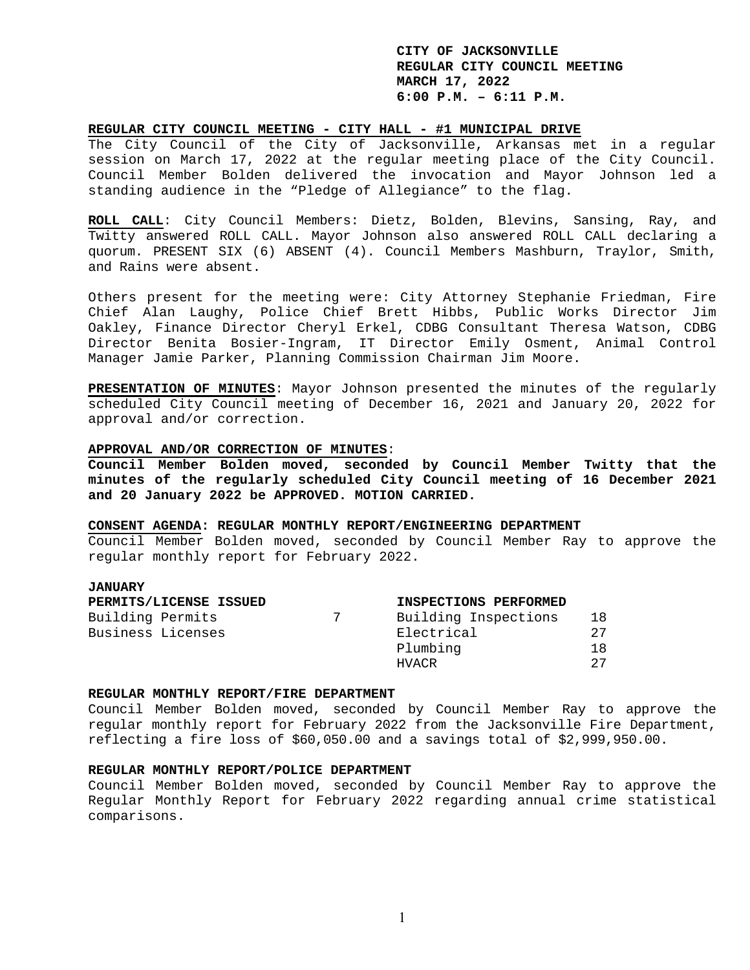### **REGULAR CITY COUNCIL MEETING - CITY HALL - #1 MUNICIPAL DRIVE**

The City Council of the City of Jacksonville, Arkansas met in a regular session on March 17, 2022 at the regular meeting place of the City Council. Council Member Bolden delivered the invocation and Mayor Johnson led a standing audience in the "Pledge of Allegiance" to the flag.

**ROLL CALL**: City Council Members: Dietz, Bolden, Blevins, Sansing, Ray, and Twitty answered ROLL CALL. Mayor Johnson also answered ROLL CALL declaring a quorum. PRESENT SIX (6) ABSENT (4). Council Members Mashburn, Traylor, Smith, and Rains were absent.

Others present for the meeting were: City Attorney Stephanie Friedman, Fire Chief Alan Laughy, Police Chief Brett Hibbs, Public Works Director Jim Oakley, Finance Director Cheryl Erkel, CDBG Consultant Theresa Watson, CDBG Director Benita Bosier-Ingram, IT Director Emily Osment, Animal Control Manager Jamie Parker, Planning Commission Chairman Jim Moore.

**PRESENTATION OF MINUTES**: Mayor Johnson presented the minutes of the regularly scheduled City Council meeting of December 16, 2021 and January 20, 2022 for approval and/or correction.

### **APPROVAL AND/OR CORRECTION OF MINUTES**:

**Council Member Bolden moved, seconded by Council Member Twitty that the minutes of the regularly scheduled City Council meeting of 16 December 2021 and 20 January 2022 be APPROVED. MOTION CARRIED.** 

# **CONSENT AGENDA: REGULAR MONTHLY REPORT/ENGINEERING DEPARTMENT**

Council Member Bolden moved, seconded by Council Member Ray to approve the regular monthly report for February 2022.

### **JANUARY**

|                   | PERMITS/LICENSE ISSUED | INSPECTIONS PERFORMED |     |
|-------------------|------------------------|-----------------------|-----|
| Building Permits  |                        | Building Inspections  | 18  |
| Business Licenses |                        | Electrical            | 2.7 |
|                   |                        | Plumbing              | 1 8 |
|                   |                        | HVACR                 | 2.7 |

### **REGULAR MONTHLY REPORT/FIRE DEPARTMENT**

Council Member Bolden moved, seconded by Council Member Ray to approve the regular monthly report for February 2022 from the Jacksonville Fire Department, reflecting a fire loss of \$60,050.00 and a savings total of \$2,999,950.00.

### **REGULAR MONTHLY REPORT/POLICE DEPARTMENT**

Council Member Bolden moved, seconded by Council Member Ray to approve the Regular Monthly Report for February 2022 regarding annual crime statistical comparisons.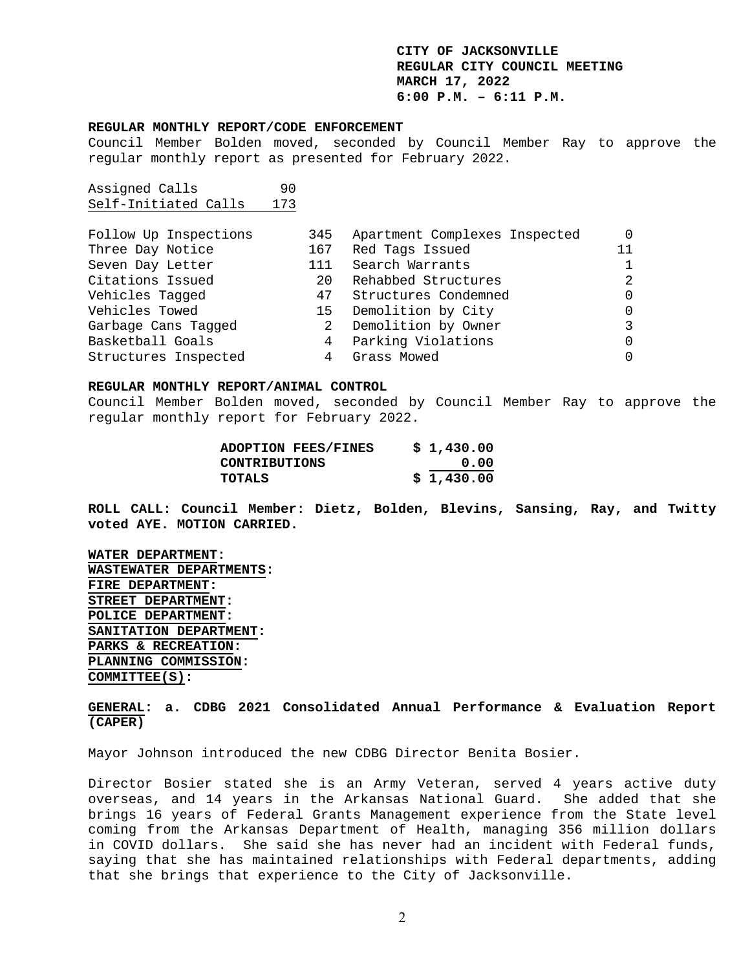#### **REGULAR MONTHLY REPORT/CODE ENFORCEMENT**

Council Member Bolden moved, seconded by Council Member Ray to approve the regular monthly report as presented for February 2022.

Assigned Calls 90 Self-Initiated Calls 173

| Follow Up Inspections | 345 | Apartment Complexes Inspected |    |
|-----------------------|-----|-------------------------------|----|
| Three Day Notice      |     | 167 Red Tags Issued           | 11 |
| Seven Day Letter      | 111 | Search Warrants               |    |
| Citations Issued      | 20  | Rehabbed Structures           |    |
| Vehicles Tagged       | 47  | Structures Condemned          |    |
| Vehicles Towed        |     | 15 Demolition by City         |    |
| Garbage Cans Tagged   |     | 2 Demolition by Owner         |    |
| Basketball Goals      |     | 4 Parking Violations          |    |
| Structures Inspected  | 4   | Grass Mowed                   |    |

#### **REGULAR MONTHLY REPORT/ANIMAL CONTROL**

Council Member Bolden moved, seconded by Council Member Ray to approve the regular monthly report for February 2022.

| <b>ADOPTION FEES/FINES</b> | \$1,430.00 |
|----------------------------|------------|
| CONTRIBUTIONS              | 0.00       |
| TOTALS                     | \$1,430.00 |

**ROLL CALL: Council Member: Dietz, Bolden, Blevins, Sansing, Ray, and Twitty voted AYE. MOTION CARRIED.** 

**WATER DEPARTMENT: WASTEWATER DEPARTMENTS: FIRE DEPARTMENT: STREET DEPARTMENT: POLICE DEPARTMENT: SANITATION DEPARTMENT: PARKS & RECREATION: PLANNING COMMISSION: COMMITTEE(S):**

**GENERAL: a. CDBG 2021 Consolidated Annual Performance & Evaluation Report (CAPER)** 

Mayor Johnson introduced the new CDBG Director Benita Bosier.

Director Bosier stated she is an Army Veteran, served 4 years active duty overseas, and 14 years in the Arkansas National Guard. She added that she brings 16 years of Federal Grants Management experience from the State level coming from the Arkansas Department of Health, managing 356 million dollars in COVID dollars. She said she has never had an incident with Federal funds, saying that she has maintained relationships with Federal departments, adding that she brings that experience to the City of Jacksonville.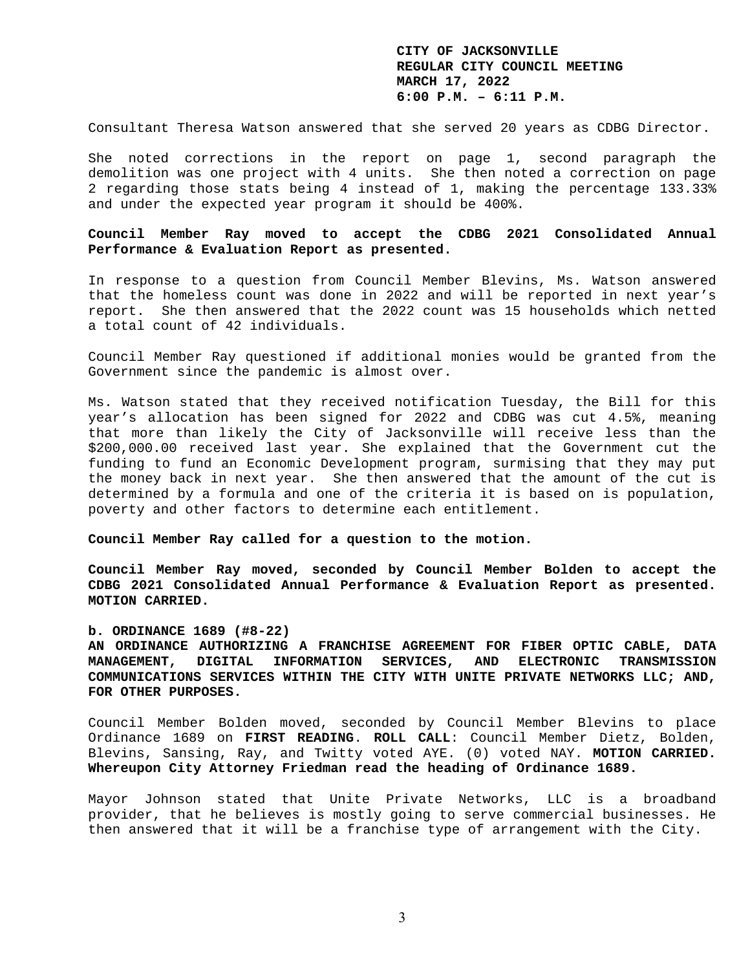Consultant Theresa Watson answered that she served 20 years as CDBG Director.

She noted corrections in the report on page 1, second paragraph the demolition was one project with 4 units. She then noted a correction on page 2 regarding those stats being 4 instead of 1, making the percentage 133.33% and under the expected year program it should be 400%.

# **Council Member Ray moved to accept the CDBG 2021 Consolidated Annual Performance & Evaluation Report as presented.**

In response to a question from Council Member Blevins, Ms. Watson answered that the homeless count was done in 2022 and will be reported in next year's report. She then answered that the 2022 count was 15 households which netted a total count of 42 individuals.

Council Member Ray questioned if additional monies would be granted from the Government since the pandemic is almost over.

Ms. Watson stated that they received notification Tuesday, the Bill for this year's allocation has been signed for 2022 and CDBG was cut 4.5%, meaning that more than likely the City of Jacksonville will receive less than the \$200,000.00 received last year. She explained that the Government cut the funding to fund an Economic Development program, surmising that they may put the money back in next year. She then answered that the amount of the cut is determined by a formula and one of the criteria it is based on is population, poverty and other factors to determine each entitlement.

**Council Member Ray called for a question to the motion.** 

**Council Member Ray moved, seconded by Council Member Bolden to accept the CDBG 2021 Consolidated Annual Performance & Evaluation Report as presented. MOTION CARRIED.** 

### **b. ORDINANCE 1689 (#8-22)**

**AN ORDINANCE AUTHORIZING A FRANCHISE AGREEMENT FOR FIBER OPTIC CABLE, DATA MANAGEMENT, DIGITAL INFORMATION SERVICES, AND ELECTRONIC TRANSMISSION COMMUNICATIONS SERVICES WITHIN THE CITY WITH UNITE PRIVATE NETWORKS LLC; AND, FOR OTHER PURPOSES.** 

Council Member Bolden moved, seconded by Council Member Blevins to place Ordinance 1689 on **FIRST READING**. **ROLL CALL**: Council Member Dietz, Bolden, Blevins, Sansing, Ray, and Twitty voted AYE. (0) voted NAY. **MOTION CARRIED. Whereupon City Attorney Friedman read the heading of Ordinance 1689.** 

Mayor Johnson stated that Unite Private Networks, LLC is a broadband provider, that he believes is mostly going to serve commercial businesses. He then answered that it will be a franchise type of arrangement with the City.